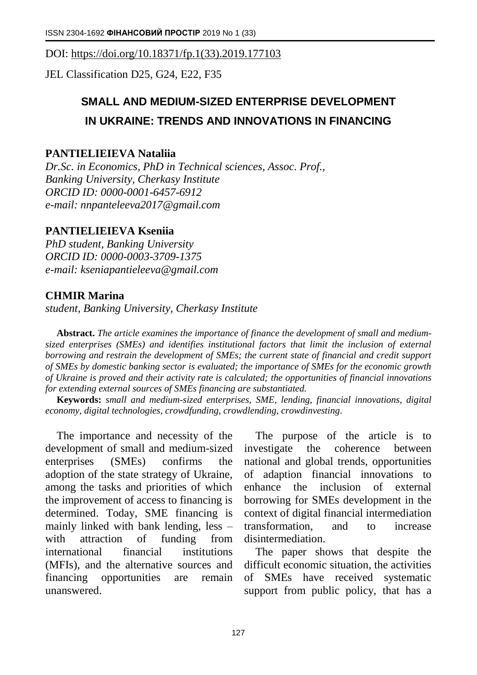DOI: [https://doi.org/10.18371/fp.1\(33\).2019.177103](https://doi.org/10.18371/fp.1(33).2019.177103)

JEL Classіfіcatіon D25, G24, Е22, F35

# **SMALL AND MEDIUM-SIZED ENTERPRISE DEVELOPMENT IN UKRAINE: TRENDS AND INNOVATIONS IN FINANCING**

### **PANTIELIEIEVA Nataliia**

*Dr.Sc. in Economics, PhD in Technical sciences, Assoc. Prof., Banking University, Cherkasy Institute ORCID ID: 0000-0001-6457-6912 e-mail: nnpanteleeva2017@gmail.com*

### **PANTIELIEIEVA Kseniia**

*PhD student, Banking University ORCID ID: 0000-0003-3709-1375 e-mail: kseniapantieleeva@gmail.com*

### **CНMIR Marina**

*student, Banking University, Cherkasy Institute*

**Abstract.** *The article examines the importance of finance the development of small and mediumsized enterprises (SMEs) and identifies institutional factors that limit the inclusion of external borrowing and restrain the development of SMEs; the current state of financial and credit support of SMEs by domestic banking sector is evaluated; the importance of SMEs for the economic growth of Ukraine is proved and their activity rate is calculated; the opportunities of financial innovations for extending external sources of SMEs financing are substantiated.* 

**Keywords:** *small and medium-sized enterprises, SME, lending, financial innovations, digital economy, digital technologies, crowdfunding, crowdlending, crowdinvesting*.

The importance and necessity of the development of small and medium-sized enterprises (SMEs) confirms the adoption of the state strategy of Ukraine, among the tasks and priorities of which the improvement of access to financing is determined. Today, SME financing is mainly linked with bank lending, less – with attraction of funding from international financial institutions (MFIs), and the alternative sources and financing opportunities are remain unanswered.

The purpose of the article is to investigate the coherence between national and global trends, opportunities of adaption financial innovations to enhance the inclusion of external borrowing for SMEs development in the context of digital financial intermediation transformation, and to increase disintermediation.

The paper shows that despite the difficult economic situation, the activities of SMEs have received systematic support from public policy, that has a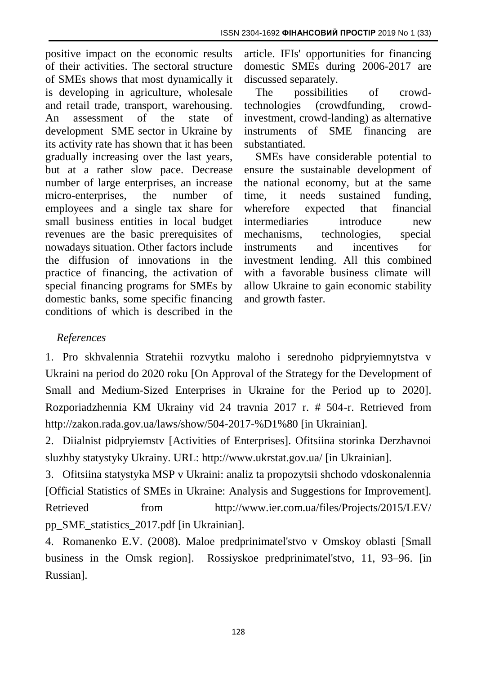positive impact on the economic results of their activities. The sectoral structure of SMEs shows that most dynamically it is developing in agriculture, wholesale and retail trade, transport, warehousing. An assessment of the state of development SME sector in Ukraine by its activity rate has shown that it has been gradually increasing over the last years, but at a rather slow pace. Decrease number of large enterprises, an increase micro-enterprises, the number of employees and a single tax share for small business entities in local budget revenues are the basic prerequisites of nowadays situation. Other factors include the diffusion of innovations in the practice of financing, the activation of special financing programs for SMEs by domestic banks, some specific financing conditions of which is described in the

article. IFIs' opportunities for financing domestic SMEs during 2006-2017 are discussed separately.

The possibilities of crowdtechnologies (crowdfunding, crowdinvestment, crowd-landing) as alternative instruments of SME financing are substantiated.

SMEs have considerable potential to ensure the sustainable development of the national economy, but at the same time, it needs sustained funding, wherefore expected that financial intermediaries introduce new mechanisms, technologies, special instruments and incentives for investment lending. All this combined with a favorable business climate will allow Ukraine to gain economic stability and growth faster.

## *References*

1. Pro skhvalennia Stratehii rozvytku maloho i serednoho pidpryiemnytstva v Ukraini na period do 2020 roku [On Approval of the Strategy for the Development of Small and Medium-Sized Enterprises in Ukraine for the Period up to 2020]. Rozporiadzhennia KM Ukrainy vid 24 travnia 2017 r. # 504-r. Retrieved from http://zakon.rada.gov.ua/laws/show/504-2017-%D1%80 [in Ukrainian].

2. Diialnist pidpryiemstv [Activities of Enterprises]. Ofitsiina storinka Derzhavnoi sluzhby statystyky Ukrainy. URL: http://www.ukrstat.gov.ua/ [in Ukrainian].

3. Ofitsiina statystyka MSP v Ukraini: analiz ta propozytsii shchodo vdoskonalennia [Official Statistics of SMEs in Ukraine: Analysis and Suggestions for Improvement]. Retrieved from http://www.ier.com.ua/files/Projects/2015/LEV/ pp\_SME\_statistics\_2017.pdf [in Ukrainian].

4. Romanenko E.V. (2008). Maloe predprinimatel'stvo v Omskoy oblasti [Small business in the Omsk region]. Rossiyskoe predprinimatel'stvo, 11, 93–96. [in Russian].